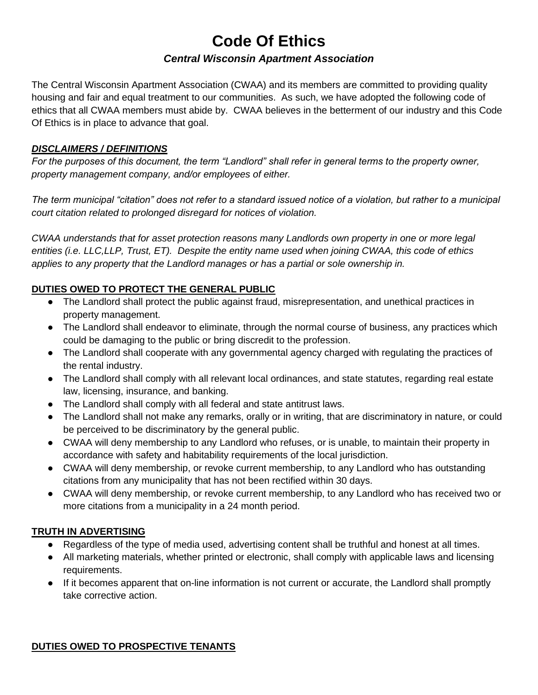# **Code Of Ethics**

## *Central Wisconsin Apartment Association*

The Central Wisconsin Apartment Association (CWAA) and its members are committed to providing quality housing and fair and equal treatment to our communities. As such, we have adopted the following code of ethics that all CWAA members must abide by. CWAA believes in the betterment of our industry and this Code Of Ethics is in place to advance that goal.

#### *DISCLAIMERS / DEFINITIONS*

*For the purposes of this document, the term "Landlord" shall refer in general terms to the property owner, property management company, and/or employees of either.*

*The term municipal "citation" does not refer to a standard issued notice of a violation, but rather to a municipal court citation related to prolonged disregard for notices of violation.*

*CWAA understands that for asset protection reasons many Landlords own property in one or more legal entities (i.e. LLC,LLP, Trust, ET). Despite the entity name used when joining CWAA, this code of ethics applies to any property that the Landlord manages or has a partial or sole ownership in.*

## **DUTIES OWED TO PROTECT THE GENERAL PUBLIC**

- The Landlord shall protect the public against fraud, misrepresentation, and unethical practices in property management.
- The Landlord shall endeavor to eliminate, through the normal course of business, any practices which could be damaging to the public or bring discredit to the profession.
- The Landlord shall cooperate with any governmental agency charged with regulating the practices of the rental industry.
- The Landlord shall comply with all relevant local ordinances, and state statutes, regarding real estate law, licensing, insurance, and banking.
- The Landlord shall comply with all federal and state antitrust laws.
- The Landlord shall not make any remarks, orally or in writing, that are discriminatory in nature, or could be perceived to be discriminatory by the general public.
- CWAA will deny membership to any Landlord who refuses, or is unable, to maintain their property in accordance with safety and habitability requirements of the local jurisdiction.
- CWAA will deny membership, or revoke current membership, to any Landlord who has outstanding citations from any municipality that has not been rectified within 30 days.
- CWAA will deny membership, or revoke current membership, to any Landlord who has received two or more citations from a municipality in a 24 month period.

### **TRUTH IN ADVERTISING**

- Regardless of the type of media used, advertising content shall be truthful and honest at all times.
- All marketing materials, whether printed or electronic, shall comply with applicable laws and licensing requirements.
- If it becomes apparent that on-line information is not current or accurate, the Landlord shall promptly take corrective action.

### **DUTIES OWED TO PROSPECTIVE TENANTS**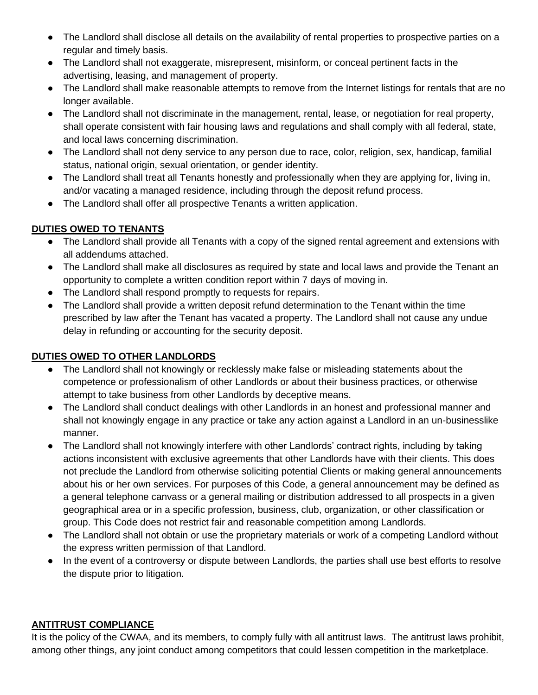- The Landlord shall disclose all details on the availability of rental properties to prospective parties on a regular and timely basis.
- The Landlord shall not exaggerate, misrepresent, misinform, or conceal pertinent facts in the advertising, leasing, and management of property.
- The Landlord shall make reasonable attempts to remove from the Internet listings for rentals that are no longer available.
- The Landlord shall not discriminate in the management, rental, lease, or negotiation for real property, shall operate consistent with fair housing laws and regulations and shall comply with all federal, state, and local laws concerning discrimination.
- The Landlord shall not deny service to any person due to race, color, religion, sex, handicap, familial status, national origin, sexual orientation, or gender identity.
- The Landlord shall treat all Tenants honestly and professionally when they are applying for, living in, and/or vacating a managed residence, including through the deposit refund process.
- The Landlord shall offer all prospective Tenants a written application.

# **DUTIES OWED TO TENANTS**

- The Landlord shall provide all Tenants with a copy of the signed rental agreement and extensions with all addendums attached.
- The Landlord shall make all disclosures as required by state and local laws and provide the Tenant an opportunity to complete a written condition report within 7 days of moving in.
- The Landlord shall respond promptly to requests for repairs.
- The Landlord shall provide a written deposit refund determination to the Tenant within the time prescribed by law after the Tenant has vacated a property. The Landlord shall not cause any undue delay in refunding or accounting for the security deposit.

## **DUTIES OWED TO OTHER LANDLORDS**

- The Landlord shall not knowingly or recklessly make false or misleading statements about the competence or professionalism of other Landlords or about their business practices, or otherwise attempt to take business from other Landlords by deceptive means.
- The Landlord shall conduct dealings with other Landlords in an honest and professional manner and shall not knowingly engage in any practice or take any action against a Landlord in an un-businesslike manner.
- The Landlord shall not knowingly interfere with other Landlords' contract rights, including by taking actions inconsistent with exclusive agreements that other Landlords have with their clients. This does not preclude the Landlord from otherwise soliciting potential Clients or making general announcements about his or her own services. For purposes of this Code, a general announcement may be defined as a general telephone canvass or a general mailing or distribution addressed to all prospects in a given geographical area or in a specific profession, business, club, organization, or other classification or group. This Code does not restrict fair and reasonable competition among Landlords.
- The Landlord shall not obtain or use the proprietary materials or work of a competing Landlord without the express written permission of that Landlord.
- In the event of a controversy or dispute between Landlords, the parties shall use best efforts to resolve the dispute prior to litigation.

## **ANTITRUST COMPLIANCE**

It is the policy of the CWAA, and its members, to comply fully with all antitrust laws. The antitrust laws prohibit, among other things, any joint conduct among competitors that could lessen competition in the marketplace.